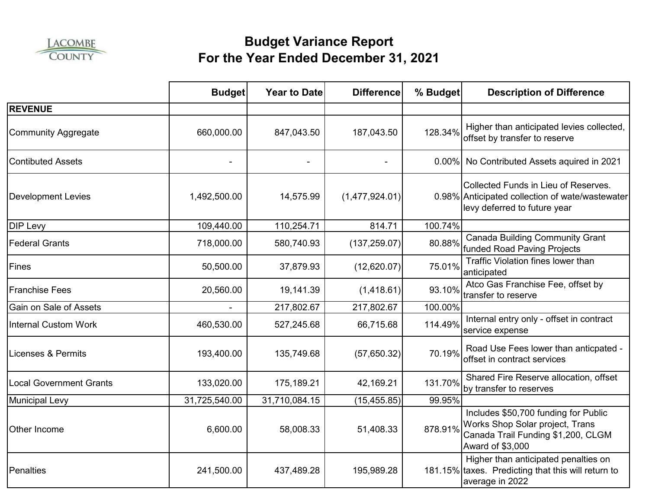

|                                | <b>Budget</b> | Year to Date  | <b>Difference</b> | % Budget | <b>Description of Difference</b>                                                                                                  |
|--------------------------------|---------------|---------------|-------------------|----------|-----------------------------------------------------------------------------------------------------------------------------------|
| <b>REVENUE</b>                 |               |               |                   |          |                                                                                                                                   |
| <b>Community Aggregate</b>     | 660,000.00    | 847,043.50    | 187,043.50        | 128.34%  | Higher than anticipated levies collected,<br>offset by transfer to reserve                                                        |
| <b>Contibuted Assets</b>       |               |               |                   |          | 0.00% No Contributed Assets aquired in 2021                                                                                       |
| <b>Development Levies</b>      | 1,492,500.00  | 14,575.99     | (1,477,924.01)    |          | Collected Funds in Lieu of Reserves.<br>0.98% Anticipated collection of wate/wastewater<br>levy deferred to future year           |
| <b>DIP Levy</b>                | 109,440.00    | 110,254.71    | 814.71            | 100.74%  |                                                                                                                                   |
| <b>Federal Grants</b>          | 718,000.00    | 580,740.93    | (137, 259.07)     | 80.88%   | <b>Canada Building Community Grant</b><br>funded Road Paving Projects                                                             |
| Fines                          | 50,500.00     | 37,879.93     | (12,620.07)       | 75.01%   | Traffic Violation fines lower than<br>anticipated                                                                                 |
| <b>Franchise Fees</b>          | 20,560.00     | 19,141.39     | (1,418.61)        | 93.10%   | Atco Gas Franchise Fee, offset by<br>transfer to reserve                                                                          |
| Gain on Sale of Assets         |               | 217,802.67    | 217,802.67        | 100.00%  |                                                                                                                                   |
| <b>Internal Custom Work</b>    | 460,530.00    | 527,245.68    | 66,715.68         | 114.49%  | Internal entry only - offset in contract<br>service expense                                                                       |
| <b>Licenses &amp; Permits</b>  | 193,400.00    | 135,749.68    | (57,650.32)       | 70.19%   | Road Use Fees lower than anticpated -<br>offset in contract services                                                              |
| <b>Local Government Grants</b> | 133,020.00    | 175,189.21    | 42,169.21         | 131.70%  | Shared Fire Reserve allocation, offset<br>by transfer to reserves                                                                 |
| <b>Municipal Levy</b>          | 31,725,540.00 | 31,710,084.15 | (15, 455.85)      | 99.95%   |                                                                                                                                   |
| Other Income                   | 6,600.00      | 58,008.33     | 51,408.33         | 878.91%  | Includes \$50,700 funding for Public<br>Works Shop Solar project, Trans<br>Canada Trail Funding \$1,200, CLGM<br>Award of \$3,000 |
| Penalties                      | 241,500.00    | 437,489.28    | 195,989.28        |          | Higher than anticipated penalties on<br>181.15% taxes. Predicting that this will return to<br>average in 2022                     |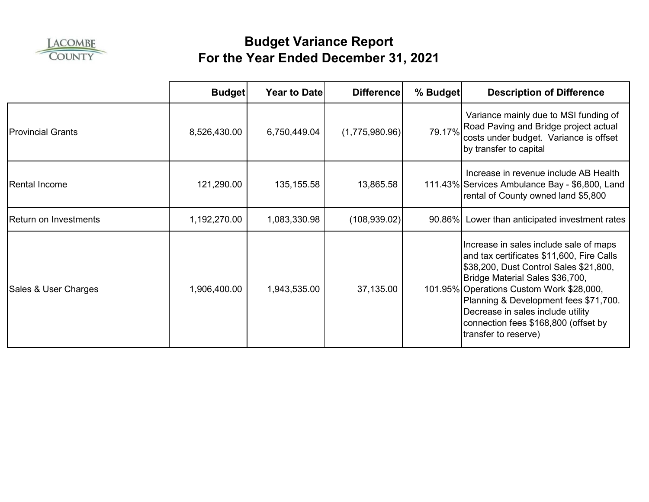

|                          | <b>Budget</b> | <b>Year to Date</b> | <b>Difference</b> | % Budget | <b>Description of Difference</b>                                                                                                                                                                                                                                                                                                                           |
|--------------------------|---------------|---------------------|-------------------|----------|------------------------------------------------------------------------------------------------------------------------------------------------------------------------------------------------------------------------------------------------------------------------------------------------------------------------------------------------------------|
| <b>Provincial Grants</b> | 8,526,430.00  | 6,750,449.04        | (1,775,980.96)    | 79.17%   | Variance mainly due to MSI funding of<br>Road Paving and Bridge project actual<br>costs under budget. Variance is offset<br>by transfer to capital                                                                                                                                                                                                         |
| <b>Rental Income</b>     | 121,290.00    | 135, 155.58         | 13,865.58         |          | Increase in revenue include AB Health<br>111.43% Services Ambulance Bay - \$6,800, Land<br>rental of County owned land \$5,800                                                                                                                                                                                                                             |
| Return on Investments    | 1,192,270.00  | 1,083,330.98        | (108, 939.02)     | 90.86%   | Lower than anticipated investment rates                                                                                                                                                                                                                                                                                                                    |
| Sales & User Charges     | 1,906,400.00  | 1,943,535.00        | 37,135.00         |          | Increase in sales include sale of maps<br>and tax certificates \$11,600, Fire Calls<br>\$38,200, Dust Control Sales \$21,800,<br>Bridge Material Sales \$36,700,<br>101.95% Operations Custom Work \$28,000,<br>Planning & Development fees \$71,700.<br>Decrease in sales include utility<br>connection fees \$168,800 (offset by<br>transfer to reserve) |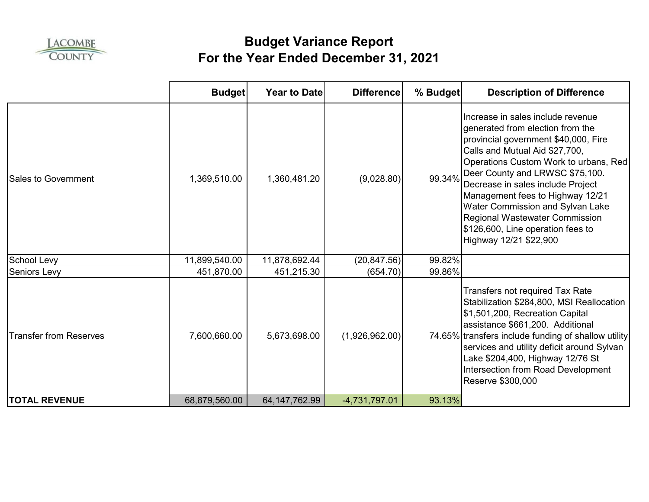

|                               | <b>Budget</b> | <b>Year to Date</b> | <b>Difference</b> | % Budget | <b>Description of Difference</b>                                                                                                                                                                                                                                                                                                                                                                                                                 |
|-------------------------------|---------------|---------------------|-------------------|----------|--------------------------------------------------------------------------------------------------------------------------------------------------------------------------------------------------------------------------------------------------------------------------------------------------------------------------------------------------------------------------------------------------------------------------------------------------|
| <b>Sales to Government</b>    | 1,369,510.00  | 1,360,481.20        | (9,028.80)        | 99.34%   | Increase in sales include revenue<br>generated from election from the<br>provincial government \$40,000, Fire<br>Calls and Mutual Aid \$27,700,<br>Operations Custom Work to urbans, Red<br>Deer County and LRWSC \$75,100.<br>Decrease in sales include Project<br>Management fees to Highway 12/21<br>Water Commission and Sylvan Lake<br><b>Regional Wastewater Commission</b><br>\$126,600, Line operation fees to<br>Highway 12/21 \$22,900 |
| School Levy                   | 11,899,540.00 | 11,878,692.44       | (20, 847.56)      | 99.82%   |                                                                                                                                                                                                                                                                                                                                                                                                                                                  |
| <b>Seniors Levy</b>           | 451,870.00    | 451,215.30          | (654.70)          | 99.86%   |                                                                                                                                                                                                                                                                                                                                                                                                                                                  |
| <b>Transfer from Reserves</b> | 7,600,660.00  | 5,673,698.00        | (1,926,962.00)    |          | Transfers not required Tax Rate<br>Stabilization \$284,800, MSI Reallocation<br>\$1,501,200, Recreation Capital<br>assistance \$661,200. Additional<br>74.65% transfers include funding of shallow utility<br>services and utility deficit around Sylvan<br>Lake \$204,400, Highway 12/76 St<br>Intersection from Road Development<br>Reserve \$300,000                                                                                          |
| <b>TOTAL REVENUE</b>          | 68,879,560.00 | 64, 147, 762. 99    | -4,731,797.01     | 93.13%   |                                                                                                                                                                                                                                                                                                                                                                                                                                                  |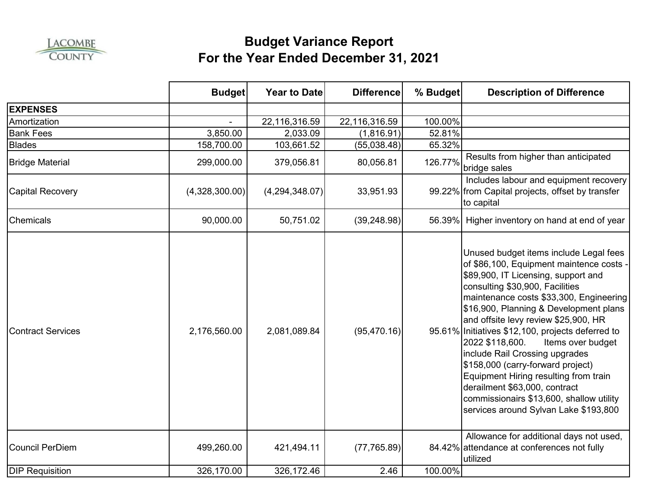

|                          | <b>Budget</b>  | Year to Date   | <b>Difference</b> | % Budget | <b>Description of Difference</b>                                                                                                                                                                                                                                                                                                                                                                                                                                                                                                                                                                                             |
|--------------------------|----------------|----------------|-------------------|----------|------------------------------------------------------------------------------------------------------------------------------------------------------------------------------------------------------------------------------------------------------------------------------------------------------------------------------------------------------------------------------------------------------------------------------------------------------------------------------------------------------------------------------------------------------------------------------------------------------------------------------|
| <b>EXPENSES</b>          |                |                |                   |          |                                                                                                                                                                                                                                                                                                                                                                                                                                                                                                                                                                                                                              |
| Amortization             |                | 22,116,316.59  | 22,116,316.59     | 100.00%  |                                                                                                                                                                                                                                                                                                                                                                                                                                                                                                                                                                                                                              |
| <b>Bank Fees</b>         | 3,850.00       | 2,033.09       | (1,816.91)        | 52.81%   |                                                                                                                                                                                                                                                                                                                                                                                                                                                                                                                                                                                                                              |
| <b>Blades</b>            | 158,700.00     | 103,661.52     | (55,038.48)       | 65.32%   |                                                                                                                                                                                                                                                                                                                                                                                                                                                                                                                                                                                                                              |
| <b>Bridge Material</b>   | 299,000.00     | 379,056.81     | 80,056.81         | 126.77%  | Results from higher than anticipated<br>bridge sales                                                                                                                                                                                                                                                                                                                                                                                                                                                                                                                                                                         |
| <b>Capital Recovery</b>  | (4,328,300.00) | (4,294,348.07) | 33,951.93         |          | Includes labour and equipment recovery<br>99.22% from Capital projects, offset by transfer<br>to capital                                                                                                                                                                                                                                                                                                                                                                                                                                                                                                                     |
| <b>Chemicals</b>         | 90,000.00      | 50,751.02      | (39, 248.98)      |          | 56.39% Higher inventory on hand at end of year                                                                                                                                                                                                                                                                                                                                                                                                                                                                                                                                                                               |
| <b>Contract Services</b> | 2,176,560.00   | 2,081,089.84   | (95, 470.16)      |          | Unused budget items include Legal fees<br>of \$86,100, Equipment maintence costs -<br>\$89,900, IT Licensing, support and<br>consulting \$30,900, Facilities<br>maintenance costs \$33,300, Engineering<br>\$16,900, Planning & Development plans<br>and offsite levy review \$25,900, HR<br>95.61% Initiatives \$12,100, projects deferred to<br>2022 \$118,600.<br>Items over budget<br>include Rail Crossing upgrades<br>\$158,000 (carry-forward project)<br>Equipment Hiring resulting from train<br>derailment \$63,000, contract<br>commissionairs \$13,600, shallow utility<br>services around Sylvan Lake \$193,800 |
| <b>Council PerDiem</b>   | 499,260.00     | 421,494.11     | (77, 765.89)      |          | Allowance for additional days not used,<br>84.42% attendance at conferences not fully<br>utilized                                                                                                                                                                                                                                                                                                                                                                                                                                                                                                                            |
| <b>DIP Requisition</b>   | 326,170.00     | 326,172.46     | 2.46              | 100.00%  |                                                                                                                                                                                                                                                                                                                                                                                                                                                                                                                                                                                                                              |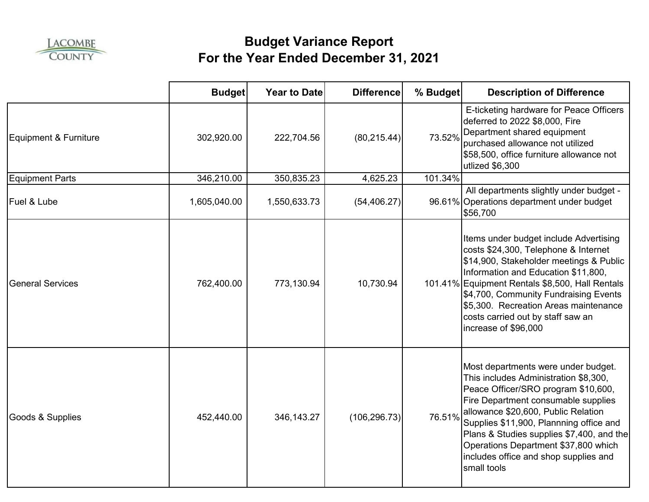

|                         | <b>Budget</b> | Year to Date | <b>Difference</b> | % Budget | <b>Description of Difference</b>                                                                                                                                                                                                                                                                                                                                                          |
|-------------------------|---------------|--------------|-------------------|----------|-------------------------------------------------------------------------------------------------------------------------------------------------------------------------------------------------------------------------------------------------------------------------------------------------------------------------------------------------------------------------------------------|
| Equipment & Furniture   | 302,920.00    | 222,704.56   | (80, 215.44)      | 73.52%   | E-ticketing hardware for Peace Officers<br>deferred to 2022 \$8,000, Fire<br>Department shared equipment<br>purchased allowance not utilized<br>\$58,500, office furniture allowance not<br>utlized \$6,300                                                                                                                                                                               |
| <b>Equipment Parts</b>  | 346,210.00    | 350,835.23   | 4,625.23          | 101.34%  |                                                                                                                                                                                                                                                                                                                                                                                           |
| Fuel & Lube             | 1,605,040.00  | 1,550,633.73 | (54, 406.27)      |          | All departments slightly under budget -<br>96.61% Operations department under budget<br>\$56,700                                                                                                                                                                                                                                                                                          |
| <b>General Services</b> | 762,400.00    | 773,130.94   | 10,730.94         |          | Items under budget include Advertising<br>costs \$24,300, Telephone & Internet<br>\$14,900, Stakeholder meetings & Public<br>Information and Education \$11,800,<br>101.41% Equipment Rentals \$8,500, Hall Rentals<br>\$4,700, Community Fundraising Events<br>\$5,300. Recreation Areas maintenance<br>costs carried out by staff saw an<br>increase of \$96,000                        |
| Goods & Supplies        | 452,440.00    | 346, 143. 27 | (106, 296.73)     | 76.51%   | Most departments were under budget.<br>This includes Administration \$8,300,<br>Peace Officer/SRO program \$10,600,<br>Fire Department consumable supplies<br>allowance \$20,600, Public Relation<br>Supplies \$11,900, Plannning office and<br>Plans & Studies supplies \$7,400, and the<br>Operations Department \$37,800 which<br>includes office and shop supplies and<br>small tools |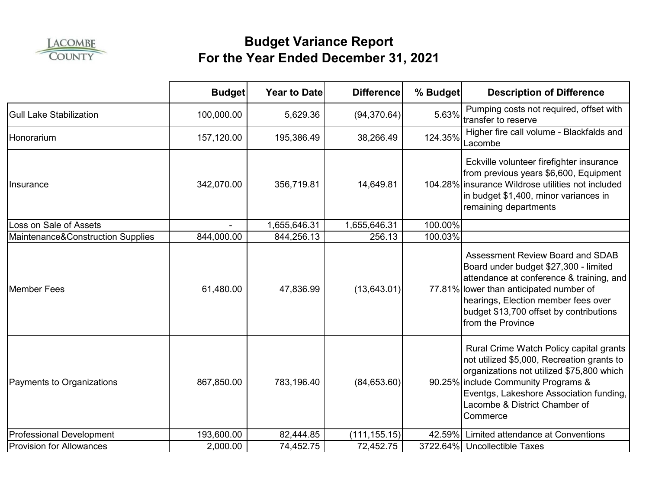

|                                   | <b>Budget</b> | <b>Year to Date</b> | <b>Difference</b> | % Budget | <b>Description of Difference</b>                                                                                                                                                                                                                                               |
|-----------------------------------|---------------|---------------------|-------------------|----------|--------------------------------------------------------------------------------------------------------------------------------------------------------------------------------------------------------------------------------------------------------------------------------|
| <b>Gull Lake Stabilization</b>    | 100,000.00    | 5,629.36            | (94, 370.64)      | 5.63%    | Pumping costs not required, offset with<br>transfer to reserve                                                                                                                                                                                                                 |
| Honorarium                        | 157,120.00    | 195,386.49          | 38,266.49         | 124.35%  | Higher fire call volume - Blackfalds and<br>Lacombe                                                                                                                                                                                                                            |
| Insurance                         | 342,070.00    | 356,719.81          | 14,649.81         |          | Eckville volunteer firefighter insurance<br>from previous years \$6,600, Equipment<br>104.28% insurance Wildrose utilities not included<br>in budget \$1,400, minor variances in<br>remaining departments                                                                      |
| Loss on Sale of Assets            |               | 1,655,646.31        | 1,655,646.31      | 100.00%  |                                                                                                                                                                                                                                                                                |
| Maintenance&Construction Supplies | 844,000.00    | 844,256.13          | 256.13            | 100.03%  |                                                                                                                                                                                                                                                                                |
| <b>Member Fees</b>                | 61,480.00     | 47,836.99           | (13, 643.01)      |          | <b>Assessment Review Board and SDAB</b><br>Board under budget \$27,300 - limited<br>attendance at conference & training, and<br>77.81% lower than anticipated number of<br>hearings, Election member fees over<br>budget \$13,700 offset by contributions<br>from the Province |
| Payments to Organizations         | 867,850.00    | 783,196.40          | (84, 653.60)      |          | Rural Crime Watch Policy capital grants<br>not utilized \$5,000, Recreation grants to<br>organizations not utilized \$75,800 which<br>90.25% include Community Programs &<br>Eventgs, Lakeshore Association funding,<br>Lacombe & District Chamber of<br>Commerce              |
| <b>Professional Development</b>   | 193,600.00    | 82,444.85           | (111, 155.15)     | 42.59%   | Limited attendance at Conventions                                                                                                                                                                                                                                              |
| <b>Provision for Allowances</b>   | 2,000.00      | 74,452.75           | 72,452.75         | 3722.64% | <b>Uncollectible Taxes</b>                                                                                                                                                                                                                                                     |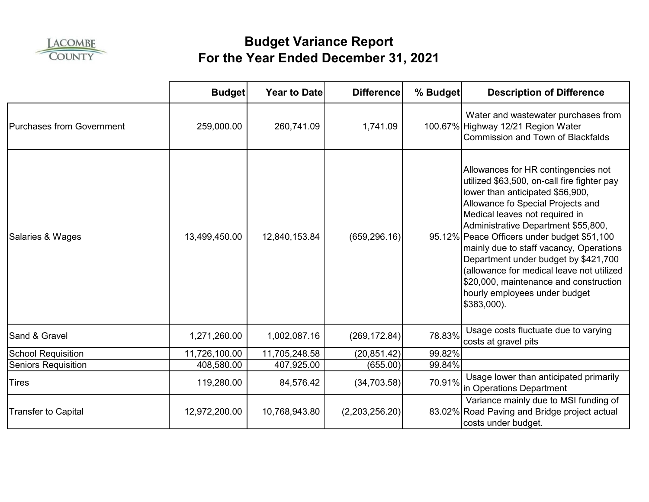

|                            | <b>Budget</b> | <b>Year to Date</b> | <b>Difference</b> | % Budget | <b>Description of Difference</b>                                                                                                                                                                                                                                                                                                                                                                                                                                                                              |
|----------------------------|---------------|---------------------|-------------------|----------|---------------------------------------------------------------------------------------------------------------------------------------------------------------------------------------------------------------------------------------------------------------------------------------------------------------------------------------------------------------------------------------------------------------------------------------------------------------------------------------------------------------|
| Purchases from Government  | 259,000.00    | 260,741.09          | 1,741.09          |          | Water and wastewater purchases from<br>100.67% Highway 12/21 Region Water<br>Commission and Town of Blackfalds                                                                                                                                                                                                                                                                                                                                                                                                |
| Salaries & Wages           | 13,499,450.00 | 12,840,153.84       | (659, 296.16)     |          | Allowances for HR contingencies not<br>utilized \$63,500, on-call fire fighter pay<br>lower than anticipated \$56,900,<br>Allowance fo Special Projects and<br>Medical leaves not required in<br>Administrative Department \$55,800,<br>95.12% Peace Officers under budget \$51,100<br>mainly due to staff vacancy, Operations<br>Department under budget by \$421,700<br>(allowance for medical leave not utilized<br>\$20,000, maintenance and construction<br>hourly employees under budget<br>\$383,000). |
| Sand & Gravel              | 1,271,260.00  | 1,002,087.16        | (269, 172.84)     | 78.83%   | Usage costs fluctuate due to varying<br>costs at gravel pits                                                                                                                                                                                                                                                                                                                                                                                                                                                  |
| <b>School Requisition</b>  | 11,726,100.00 | 11,705,248.58       | (20, 851.42)      | 99.82%   |                                                                                                                                                                                                                                                                                                                                                                                                                                                                                                               |
| <b>Seniors Requisition</b> | 408,580.00    | 407,925.00          | (655.00)          | 99.84%   |                                                                                                                                                                                                                                                                                                                                                                                                                                                                                                               |
| <b>Tires</b>               | 119,280.00    | 84,576.42           | (34,703.58)       | 70.91%   | Usage lower than anticipated primarily<br>in Operations Department                                                                                                                                                                                                                                                                                                                                                                                                                                            |
| <b>Transfer to Capital</b> | 12,972,200.00 | 10,768,943.80       | (2,203,256.20)    |          | Variance mainly due to MSI funding of<br>83.02% Road Paving and Bridge project actual<br>costs under budget.                                                                                                                                                                                                                                                                                                                                                                                                  |